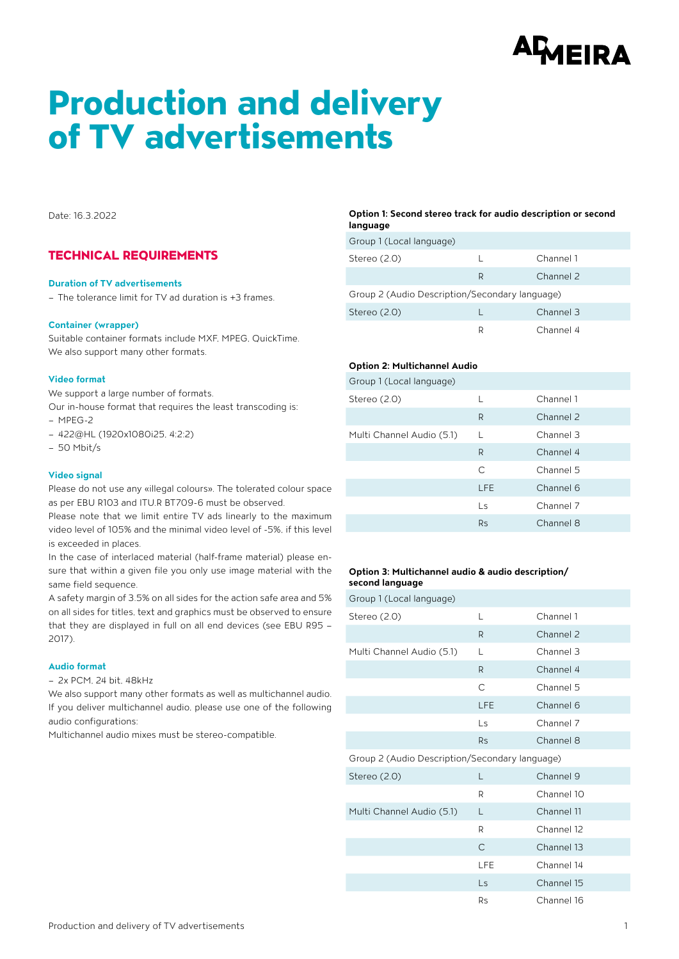# <sup>AQ</sup>MEIRA

## Production and delivery of TV advertisements

Date: 16.3.2022

## TECHNICAL REQUIREMENTS

#### **Duration of TV advertisements**

– The tolerance limit for TV ad duration is +3 frames.

#### **Container (wrapper)**

Suitable container formats include MXF, MPEG, QuickTime. We also support many other formats.

#### **Video format**

We support a large number of formats.

Our in-house format that requires the least transcoding is: – MPEG-2

- 422@HL (1920x1080i25, 4:2:2)
- 50 Mbit/s

#### **Video signal**

Please do not use any «illegal colours». The tolerated colour space as per EBU R103 and ITU.R BT709-6 must be observed.

Please note that we limit entire TV ads linearly to the maximum video level of 105% and the minimal video level of -5%, if this level is exceeded in places.

In the case of interlaced material (half-frame material) please ensure that within a given file you only use image material with the same field sequence.

A safety margin of 3.5% on all sides for the action safe area and 5% on all sides for titles, text and graphics must be observed to ensure that they are displayed in full on all end devices (see EBU R95 – 2017).

#### **Audio format**

– 2x PCM, 24 bit, 48kHz

We also support many other formats as well as multichannel audio. If you deliver multichannel audio, please use one of the following audio configurations:

Multichannel audio mixes must be stereo-compatible.

#### **Option 1: Second stereo track for audio description or second language**

| Group 1 (Local language)                       |   |           |  |  |
|------------------------------------------------|---|-----------|--|--|
| Stereo $(2.0)$                                 |   | Channel 1 |  |  |
|                                                | R | Channel 2 |  |  |
| Group 2 (Audio Description/Secondary language) |   |           |  |  |
| Stereo $(2.0)$                                 |   | Channel 3 |  |  |
|                                                | R | Channel 4 |  |  |

#### **Option 2: Multichannel Audio**

| Group 1 (Local language)  |            |           |
|---------------------------|------------|-----------|
| Stereo (2.0)              | L          | Channel 1 |
|                           | R          | Channel 2 |
| Multi Channel Audio (5.1) |            | Channel 3 |
|                           | R          | Channel 4 |
|                           | C          | Channel 5 |
|                           | <b>LFE</b> | Channel 6 |
|                           | Ls         | Channel 7 |
|                           | <b>Rs</b>  | Channel 8 |
|                           |            |           |

#### **Option 3: Multichannel audio & audio description/ second language**

Group 1 (Local language) Stereo (2.0) L Channel 1 R Channel 2 Multi Channel Audio (5.1) L Channel 3 R Channel 4 C Channel 5 LFE Channel 6 Ls Channel 7 Rs Channel 8 Group 2 (Audio Description/Secondary language) Stereo (2.0) L Channel 9 R Channel 10 Multi Channel Audio (5.1) L Channel 11 R Channel 12 C Channel 13 LFE Channel 14 Ls Channel 15 Rs Channel 16